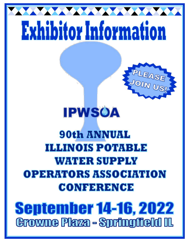# Exhibitor Information

**MAXXXXXXXXXX** 



# **IPWSOA**

### **90th ANNUAL ILLINOIS POTABLE WATER SUPPLY** OPERATORS ASSOCIATION CONFERENCE

## **September 14-16, 2022 Growne Plaza - Springfield IL**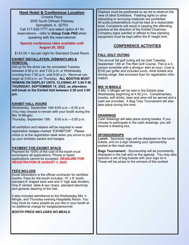#### **Host Hotel & Conference Location**

Crowne Plaza 3000 South Dirksen Parkway Springfield, IL 62703 Call 217-529-7777 and select option #1 for reservations – refer to *Group Code P6Q* when speaking with the reservationist

#### **Special conference rates available until August 29, 2022**

\$122.00 + tax per night for Standard Guest Room

#### **EXHIBIT INSTALLATION, DISMANTLING & REMOVAL**

Set-up for the show can be completed Tuesday between 4:30 p.m. and 7:00 p.m. or Wednesday morning from 7:00 a.m. until 8:00 a.m. Removal can begin at 3:00 p.m. on Thursday. **ALL BOOTHS MUST REMAIN ON DISPLAY UNTIL CLOSING AT 3:00 P.M. THURSDAY, SEPTEMBER 15**, **2022, as attendees will break to the Exhibit Hall between 2:30 and 3:00 pm.** 

#### **EXHIBIT HALL HOURS**

Wednesday, September 14th 8:00 a.m.—6:30 p.m. (You may choose to remain with your booth during the Mix 'N Mingle)

Thursday, September 15th 8:00 a.m.—3:00 p.m.

All exhibitors and helpers will be required to wear registration badges marked "EXHIBITOR". Please check in at the registration desk when you arrive to pick up your exhibitor packet and badges.

#### **PAYMENT FOR EXHIBIT SPACE**

Payment for 100% of the cost of the booth must accompany all applications, Phone or faxed applications cannot be accepted. *DEADLINE FOR REGISTRATION IS AUGUST 1, 2022*

#### **FEES INCLUDE**

Excel Decorators is the official contractor for exhibitor booths. Fees for the booth includes: 10' x 8' booth, standard 8' draped back wall and 3' high side dividers, One 6' skirted table & two chairs, standard electricity and general cleaning of the hall**.** 

It also includes admittance to the Wednesday Mix 'n Mingle, and Thursday evening Hospitality Room. You may have as many people as you like in your booth at no additional charge for badges/personnel.

#### *BOOTH PRICE INCLUDES NO MEALS*

Displays must be positioned so as not to obstruct the view of other Exhibitors. Flashing lights or other distracting or annoying materials are prohibited. All audio presentations must be kept at a reasonable level. Complaints will result in ceasing the offending practice at the direction of the Exhibit Chairman. Company signs painted or affixed to free standing equipment must be kept within the 8' height limit.

#### **CONFERENCE ACTIVITIES**

#### **FALL GOLF OUTING**

The annual fall golf outing will be held Tuesday, September 13th at The Rail Golf Course. This is a 4 person scramble with a shotgun start at noon. Cost is \$100 per golfer and includes lunch, drink tickets and driving range. See enclosed flyer for registration information.

#### **MIX 'N MINGLE**

A Mix 'n Mingle will be held in the Exhibit area Wednesday beginning at 4:30 p.m. Complimentary snacks, soft drinks, beer and wine will be served and a cash bar provided. A Bag Toss Tournament will also take place during this time.

#### **DRAWINGS**

Cash drawings will take place during breaks. If you choose to participate in the cash drawings, you will receive a drawing box.

#### **SPONSORSHIPS**

**Lunch** - Sponsors' logo will be displayed on the lunch tickets, and on a sign showing your sponsorship posted at the meal area.

**Bags Tournament** - Sponsorship will be prominently displayed in the hall and on the agenda. You may also sponsor a set of bag boards with your logo on it. These will be prizes to the winners of the contest.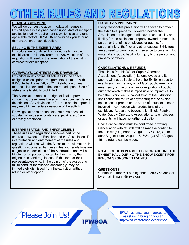#### **SPACE ASSIGNMENT**

We will do our best to accommodate all requests. Exhibit space is assigned based upon: date of receipt of application, utility requirement & exhibit size and other applicable factors. IPWSOA encourages you to bring demonstration or exhibit trailers.

#### **SELLING IN THE EXHIBIT AREA**

Exhibitors are prohibited from direct selling in the exhibit area and its environment. Any violation of this regulation will result in the termination of the existing contract for exhibit space.

#### **GIVEAWAYS, CONTESTS AND DRAWINGS**

Exhibitors must confine all activities to the space assigned unless prior arrangements are made with IPWSOA by August 26, 2022. Distribution of any materials is restricted to the contracted space. Use of aisle space is strictly prohibited.

The Association retains the right of final approval concerning these items based on the submitted detailed description. Any deviation or failure to obtain approval may result in immediate cessation of the activity.

Drawings, lotteries or contests that have prizes of substantial value (i.e. boats, cars, jet skis, etc.) are expressly prohibited.

#### **INTERPRETATION AND ENFORCEMENT**

These rules and regulations become part of the contract between the Exhibitor and the Association. The interpretation and enforcement of the rules and regulations will rest with the Association. All matters in question not covered by these rules and regulations are subject to the decisions of the Association and will be binding on all parties affected by them, as by the original rules and regulations. Exhibitors, or their representatives who, in the opinion of the Association, fail to conduct themselves accordingly, may be immediately dismissed from the exhibition without refund or other appeal.

#### **LIABILITY & INSURANCE**

Every reasonable precaution will be taken to protect the exhibitors' property. However, neither the Association nor its agents will have responsibility or liability for the exhibitors' property, owned, rented, his person or that of his employees or agents, from personal injury, theft, or any other causes. Exhibitors are advised to carry floating insurance to cover exhibit material and public liability for injury to the person and property of others.

#### **CANCELLATIONS & REFUNDS**

The Illinois Potable Water Supply Operators Association, (Association), its employees and its agents will not be liable to hold the Exhibition due to events such as fire, any act of God, public enemy or emergency, strike or any law or regulation of public authority which makes it impossible or impractical to hold the Exhibition. A cancellation of the Exhibition shall cause the return of payment(s) for the exhibit space, less a proportionate share of actual expenses incurred in connection with productions of the exhibition. Above and beyond this, Illinois Potable Water Supply Operators Associations, its employees or agents, will have no further obligation.

Space cancellation must be confirmed in writing. Cancellation with refunds will be made according to the following: (1) Prior to August 1, 75%. (2) On or after August 1 until August 15, 50%. (3) After August 15, no refund can be made.

#### **NO ALCOHOL IS PERMITTED IN OR AROUND THE EXHIBIT HALL DURING THE SHOW EXCEPT FOR IPWSOA SPONSORED EVENTS.**

#### **QUESTIONS?**

Contact Heather McLeod by phone: 800-762-3547 or by e-mail: ilrwahm@ilrwa.org

IRWA has once again agreed to

Please Join Us!

assist us in bringing you an improved conference experience **IPWSOA**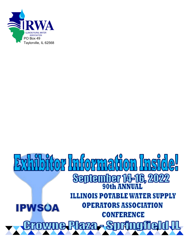

### **Hor Information Insi**  $\frac{1}{2}$ **September 14-16, 2022 ILLINOIS POTABLE WATER SUPPLY OPERATORS ASSOCIATION IPWSOA CONFERENCE**  $\mathbf{e}$